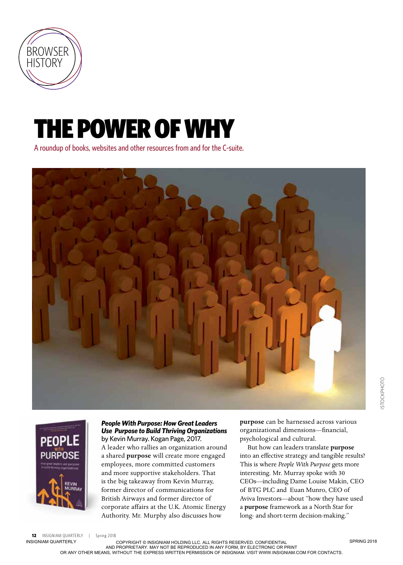

## THE POWER OF WHY

A roundup of books, websites and other resources from and for the C-suite.





## *People With Purpose: How Great Leaders Use Purpose to Build Thriving Organizations*  by Kevin Murray. Kogan Page, 2017.

A leader who rallies an organization around a shared **purpose** will create more engaged employees, more committed customers and more supportive stakeholders. That is the big takeaway from Kevin Murray, former director of communications for British Airways and former director of corporate affairs at the U.K. Atomic Energy Authority. Mr. Murphy also discusses how

**purpose** can be harnessed across various organizational dimensions—financial, psychological and cultural.

But how can leaders translate **purpose** into an effective strategy and tangible results? This is where *People With Purpose* gets more interesting. Mr. Murray spoke with 30 CEOs—including Dame Louise Makin, CEO of BTG PLC and Euan Munro, CEO of Aviva Investors—about "how they have used a **purpose** framework as a North Star for long- and short-term decision-making."

12 INSIGNIAM QUARTERLY | Spring 2018

INSIGNIAM QUARTERLY COPYRIGHT © INSIGNIAM HOLDING LLC. ALL RIGHTS RESERVED. CONFIDENTIAL

AND PROPRIETARY. MAY NOT BE REPRODUCED IN ANY FORM, BY ELECTRONIC OR PRINT<br>OR ANY OTHER MEANS, WITHOUT THE EXPRESS WRITTEN PERMISSION OF INSIGNIAM. VISIT WWW.INSIGNIAM.COM FOR CONTACTS.